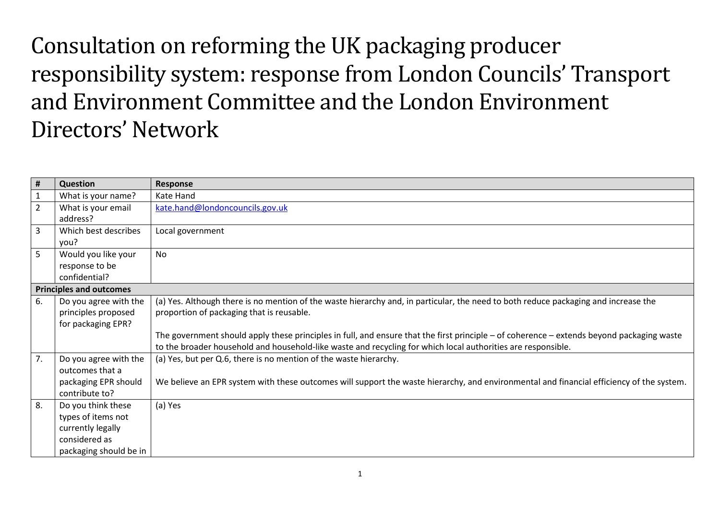Consultation on reforming the UK packaging producer responsibility system: response from London Councils' Transport and Environment Committee and the London Environment Directors' Network

| #              | <b>Question</b>                | Response                                                                                                                                  |
|----------------|--------------------------------|-------------------------------------------------------------------------------------------------------------------------------------------|
|                | What is your name?             | Kate Hand                                                                                                                                 |
| $\overline{2}$ | What is your email             | kate.hand@londoncouncils.gov.uk                                                                                                           |
|                | address?                       |                                                                                                                                           |
| 3              | Which best describes           | Local government                                                                                                                          |
|                | you?                           |                                                                                                                                           |
| 5              | Would you like your            | No                                                                                                                                        |
|                | response to be                 |                                                                                                                                           |
|                | confidential?                  |                                                                                                                                           |
|                | <b>Principles and outcomes</b> |                                                                                                                                           |
| 6.             | Do you agree with the          | (a) Yes. Although there is no mention of the waste hierarchy and, in particular, the need to both reduce packaging and increase the       |
|                | principles proposed            | proportion of packaging that is reusable.                                                                                                 |
|                | for packaging EPR?             |                                                                                                                                           |
|                |                                | The government should apply these principles in full, and ensure that the first principle – of coherence – extends beyond packaging waste |
|                |                                | to the broader household and household-like waste and recycling for which local authorities are responsible.                              |
| 7.             | Do you agree with the          | (a) Yes, but per Q.6, there is no mention of the waste hierarchy.                                                                         |
|                | outcomes that a                |                                                                                                                                           |
|                | packaging EPR should           | We believe an EPR system with these outcomes will support the waste hierarchy, and environmental and financial efficiency of the system.  |
|                | contribute to?                 |                                                                                                                                           |
| 8.             | Do you think these             | (a) Yes                                                                                                                                   |
|                | types of items not             |                                                                                                                                           |
|                | currently legally              |                                                                                                                                           |
|                | considered as                  |                                                                                                                                           |
|                | packaging should be in         |                                                                                                                                           |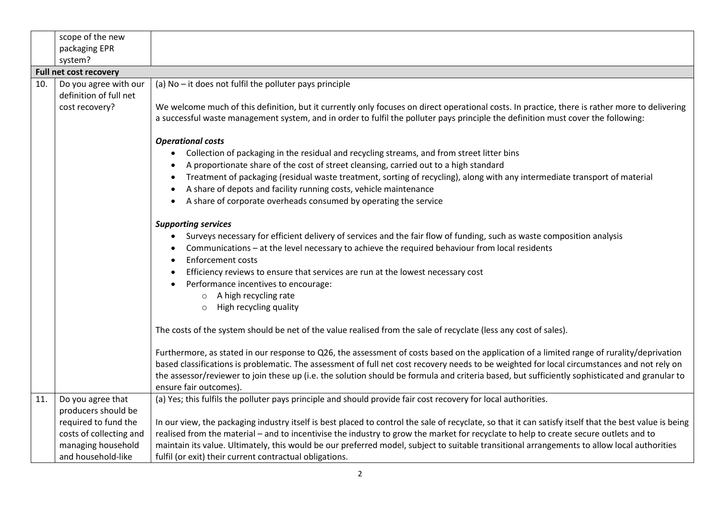|     | scope of the new                                |                                                                                                                                                                                                                                                                                                                                                                                                                                                                       |
|-----|-------------------------------------------------|-----------------------------------------------------------------------------------------------------------------------------------------------------------------------------------------------------------------------------------------------------------------------------------------------------------------------------------------------------------------------------------------------------------------------------------------------------------------------|
|     | packaging EPR                                   |                                                                                                                                                                                                                                                                                                                                                                                                                                                                       |
|     | system?                                         |                                                                                                                                                                                                                                                                                                                                                                                                                                                                       |
|     | <b>Full net cost recovery</b>                   |                                                                                                                                                                                                                                                                                                                                                                                                                                                                       |
| 10. | Do you agree with our<br>definition of full net | (a) No - it does not fulfil the polluter pays principle                                                                                                                                                                                                                                                                                                                                                                                                               |
|     | cost recovery?                                  | We welcome much of this definition, but it currently only focuses on direct operational costs. In practice, there is rather more to delivering<br>a successful waste management system, and in order to fulfil the polluter pays principle the definition must cover the following:                                                                                                                                                                                   |
|     |                                                 | <b>Operational costs</b>                                                                                                                                                                                                                                                                                                                                                                                                                                              |
|     |                                                 | Collection of packaging in the residual and recycling streams, and from street litter bins<br>$\bullet$                                                                                                                                                                                                                                                                                                                                                               |
|     |                                                 | A proportionate share of the cost of street cleansing, carried out to a high standard                                                                                                                                                                                                                                                                                                                                                                                 |
|     |                                                 | Treatment of packaging (residual waste treatment, sorting of recycling), along with any intermediate transport of material<br>A share of depots and facility running costs, vehicle maintenance                                                                                                                                                                                                                                                                       |
|     |                                                 | A share of corporate overheads consumed by operating the service<br>$\bullet$                                                                                                                                                                                                                                                                                                                                                                                         |
|     |                                                 |                                                                                                                                                                                                                                                                                                                                                                                                                                                                       |
|     |                                                 | <b>Supporting services</b>                                                                                                                                                                                                                                                                                                                                                                                                                                            |
|     |                                                 | Surveys necessary for efficient delivery of services and the fair flow of funding, such as waste composition analysis<br>$\bullet$                                                                                                                                                                                                                                                                                                                                    |
|     |                                                 | Communications - at the level necessary to achieve the required behaviour from local residents                                                                                                                                                                                                                                                                                                                                                                        |
|     |                                                 | <b>Enforcement costs</b>                                                                                                                                                                                                                                                                                                                                                                                                                                              |
|     |                                                 | Efficiency reviews to ensure that services are run at the lowest necessary cost                                                                                                                                                                                                                                                                                                                                                                                       |
|     |                                                 | Performance incentives to encourage:                                                                                                                                                                                                                                                                                                                                                                                                                                  |
|     |                                                 | o A high recycling rate                                                                                                                                                                                                                                                                                                                                                                                                                                               |
|     |                                                 | High recycling quality<br>$\circ$                                                                                                                                                                                                                                                                                                                                                                                                                                     |
|     |                                                 | The costs of the system should be net of the value realised from the sale of recyclate (less any cost of sales).                                                                                                                                                                                                                                                                                                                                                      |
|     |                                                 | Furthermore, as stated in our response to Q26, the assessment of costs based on the application of a limited range of rurality/deprivation<br>based classifications is problematic. The assessment of full net cost recovery needs to be weighted for local circumstances and not rely on<br>the assessor/reviewer to join these up (i.e. the solution should be formula and criteria based, but sufficiently sophisticated and granular to<br>ensure fair outcomes). |
| 11. | Do you agree that                               | (a) Yes; this fulfils the polluter pays principle and should provide fair cost recovery for local authorities.                                                                                                                                                                                                                                                                                                                                                        |
|     | producers should be                             |                                                                                                                                                                                                                                                                                                                                                                                                                                                                       |
|     | required to fund the                            | In our view, the packaging industry itself is best placed to control the sale of recyclate, so that it can satisfy itself that the best value is being                                                                                                                                                                                                                                                                                                                |
|     | costs of collecting and                         | realised from the material - and to incentivise the industry to grow the market for recyclate to help to create secure outlets and to                                                                                                                                                                                                                                                                                                                                 |
|     | managing household                              | maintain its value. Ultimately, this would be our preferred model, subject to suitable transitional arrangements to allow local authorities                                                                                                                                                                                                                                                                                                                           |
|     | and household-like                              | fulfil (or exit) their current contractual obligations.                                                                                                                                                                                                                                                                                                                                                                                                               |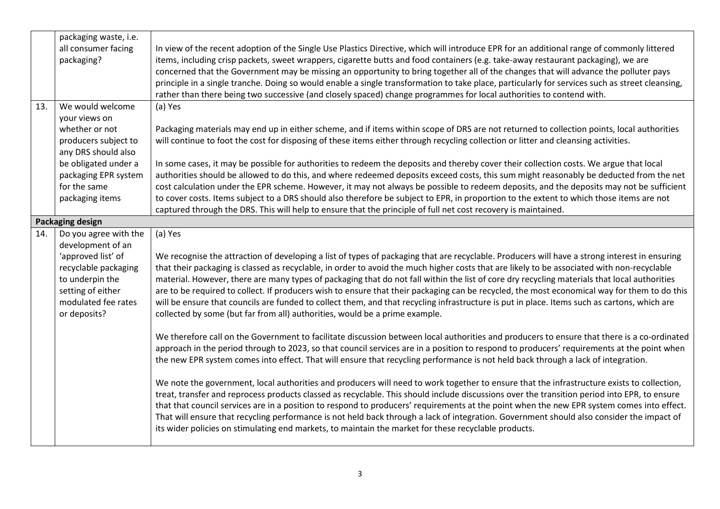|     | packaging waste, i.e.   |                                                                                                                                                                                                                                                                                 |
|-----|-------------------------|---------------------------------------------------------------------------------------------------------------------------------------------------------------------------------------------------------------------------------------------------------------------------------|
|     | all consumer facing     | In view of the recent adoption of the Single Use Plastics Directive, which will introduce EPR for an additional range of commonly littered                                                                                                                                      |
|     | packaging?              | items, including crisp packets, sweet wrappers, cigarette butts and food containers (e.g. take-away restaurant packaging), we are                                                                                                                                               |
|     |                         | concerned that the Government may be missing an opportunity to bring together all of the changes that will advance the polluter pays                                                                                                                                            |
|     |                         | principle in a single tranche. Doing so would enable a single transformation to take place, particularly for services such as street cleansing,                                                                                                                                 |
|     |                         | rather than there being two successive (and closely spaced) change programmes for local authorities to contend with.                                                                                                                                                            |
| 13. | We would welcome        | (a) Yes                                                                                                                                                                                                                                                                         |
|     | your views on           |                                                                                                                                                                                                                                                                                 |
|     | whether or not          | Packaging materials may end up in either scheme, and if items within scope of DRS are not returned to collection points, local authorities                                                                                                                                      |
|     | producers subject to    | will continue to foot the cost for disposing of these items either through recycling collection or litter and cleansing activities.                                                                                                                                             |
|     | any DRS should also     |                                                                                                                                                                                                                                                                                 |
|     | be obligated under a    | In some cases, it may be possible for authorities to redeem the deposits and thereby cover their collection costs. We argue that local                                                                                                                                          |
|     | packaging EPR system    | authorities should be allowed to do this, and where redeemed deposits exceed costs, this sum might reasonably be deducted from the net                                                                                                                                          |
|     | for the same            | cost calculation under the EPR scheme. However, it may not always be possible to redeem deposits, and the deposits may not be sufficient                                                                                                                                        |
|     | packaging items         | to cover costs. Items subject to a DRS should also therefore be subject to EPR, in proportion to the extent to which those items are not                                                                                                                                        |
|     |                         | captured through the DRS. This will help to ensure that the principle of full net cost recovery is maintained.                                                                                                                                                                  |
|     | <b>Packaging design</b> |                                                                                                                                                                                                                                                                                 |
| 14. | Do you agree with the   | (a) Yes                                                                                                                                                                                                                                                                         |
|     | development of an       |                                                                                                                                                                                                                                                                                 |
|     | 'approved list' of      | We recognise the attraction of developing a list of types of packaging that are recyclable. Producers will have a strong interest in ensuring                                                                                                                                   |
|     | recyclable packaging    | that their packaging is classed as recyclable, in order to avoid the much higher costs that are likely to be associated with non-recyclable                                                                                                                                     |
|     | to underpin the         | material. However, there are many types of packaging that do not fall within the list of core dry recycling materials that local authorities                                                                                                                                    |
|     | setting of either       | are to be required to collect. If producers wish to ensure that their packaging can be recycled, the most economical way for them to do this                                                                                                                                    |
|     | modulated fee rates     | will be ensure that councils are funded to collect them, and that recycling infrastructure is put in place. Items such as cartons, which are                                                                                                                                    |
|     | or deposits?            | collected by some (but far from all) authorities, would be a prime example.                                                                                                                                                                                                     |
|     |                         |                                                                                                                                                                                                                                                                                 |
|     |                         | We therefore call on the Government to facilitate discussion between local authorities and producers to ensure that there is a co-ordinated                                                                                                                                     |
|     |                         | approach in the period through to 2023, so that council services are in a position to respond to producers' requirements at the point when<br>the new EPR system comes into effect. That will ensure that recycling performance is not held back through a lack of integration. |
|     |                         |                                                                                                                                                                                                                                                                                 |
|     |                         | We note the government, local authorities and producers will need to work together to ensure that the infrastructure exists to collection,                                                                                                                                      |
|     |                         | treat, transfer and reprocess products classed as recyclable. This should include discussions over the transition period into EPR, to ensure                                                                                                                                    |
|     |                         | that that council services are in a position to respond to producers' requirements at the point when the new EPR system comes into effect.                                                                                                                                      |
|     |                         | That will ensure that recycling performance is not held back through a lack of integration. Government should also consider the impact of                                                                                                                                       |
|     |                         | its wider policies on stimulating end markets, to maintain the market for these recyclable products.                                                                                                                                                                            |
|     |                         |                                                                                                                                                                                                                                                                                 |
|     |                         |                                                                                                                                                                                                                                                                                 |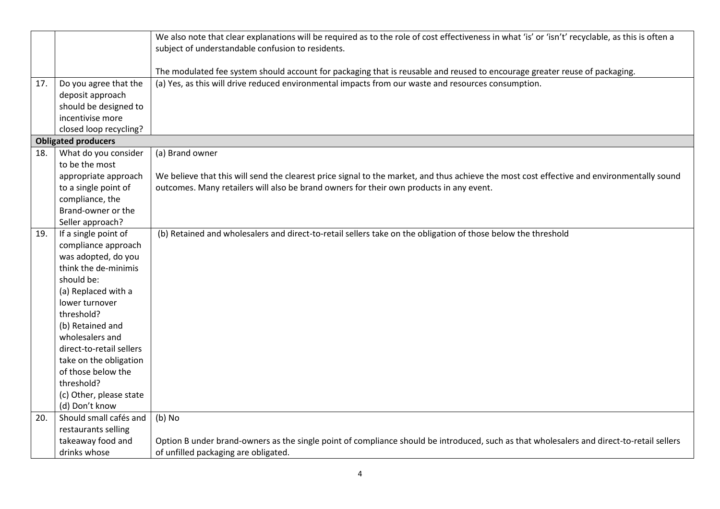|     |                            | We also note that clear explanations will be required as to the role of cost effectiveness in what 'is' or 'isn't' recyclable, as this is often a |
|-----|----------------------------|---------------------------------------------------------------------------------------------------------------------------------------------------|
|     |                            | subject of understandable confusion to residents.                                                                                                 |
|     |                            |                                                                                                                                                   |
|     |                            | The modulated fee system should account for packaging that is reusable and reused to encourage greater reuse of packaging.                        |
| 17. | Do you agree that the      | (a) Yes, as this will drive reduced environmental impacts from our waste and resources consumption.                                               |
|     | deposit approach           |                                                                                                                                                   |
|     | should be designed to      |                                                                                                                                                   |
|     | incentivise more           |                                                                                                                                                   |
|     | closed loop recycling?     |                                                                                                                                                   |
|     | <b>Obligated producers</b> |                                                                                                                                                   |
| 18. | What do you consider       | (a) Brand owner                                                                                                                                   |
|     | to be the most             |                                                                                                                                                   |
|     | appropriate approach       | We believe that this will send the clearest price signal to the market, and thus achieve the most cost effective and environmentally sound        |
|     | to a single point of       | outcomes. Many retailers will also be brand owners for their own products in any event.                                                           |
|     | compliance, the            |                                                                                                                                                   |
|     | Brand-owner or the         |                                                                                                                                                   |
|     | Seller approach?           |                                                                                                                                                   |
| 19. | If a single point of       | (b) Retained and wholesalers and direct-to-retail sellers take on the obligation of those below the threshold                                     |
|     | compliance approach        |                                                                                                                                                   |
|     | was adopted, do you        |                                                                                                                                                   |
|     | think the de-minimis       |                                                                                                                                                   |
|     | should be:                 |                                                                                                                                                   |
|     | (a) Replaced with a        |                                                                                                                                                   |
|     | lower turnover             |                                                                                                                                                   |
|     | threshold?                 |                                                                                                                                                   |
|     | (b) Retained and           |                                                                                                                                                   |
|     | wholesalers and            |                                                                                                                                                   |
|     | direct-to-retail sellers   |                                                                                                                                                   |
|     | take on the obligation     |                                                                                                                                                   |
|     | of those below the         |                                                                                                                                                   |
|     | threshold?                 |                                                                                                                                                   |
|     | (c) Other, please state    |                                                                                                                                                   |
|     | (d) Don't know             |                                                                                                                                                   |
| 20. | Should small cafés and     | $(b)$ No                                                                                                                                          |
|     | restaurants selling        |                                                                                                                                                   |
|     | takeaway food and          | Option B under brand-owners as the single point of compliance should be introduced, such as that wholesalers and direct-to-retail sellers         |
|     | drinks whose               | of unfilled packaging are obligated.                                                                                                              |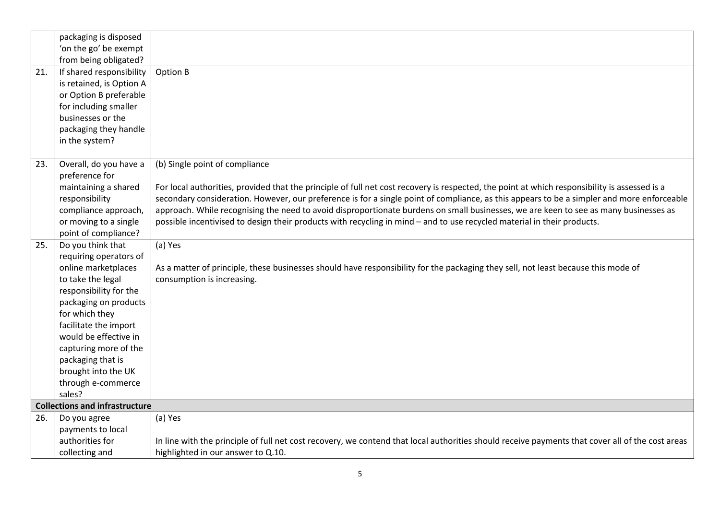|     | packaging is disposed                           |                                                                                                                                                                                                                                                                                             |
|-----|-------------------------------------------------|---------------------------------------------------------------------------------------------------------------------------------------------------------------------------------------------------------------------------------------------------------------------------------------------|
|     | 'on the go' be exempt                           |                                                                                                                                                                                                                                                                                             |
|     | from being obligated?                           |                                                                                                                                                                                                                                                                                             |
| 21. | If shared responsibility                        | Option B                                                                                                                                                                                                                                                                                    |
|     | is retained, is Option A                        |                                                                                                                                                                                                                                                                                             |
|     | or Option B preferable                          |                                                                                                                                                                                                                                                                                             |
|     | for including smaller                           |                                                                                                                                                                                                                                                                                             |
|     | businesses or the                               |                                                                                                                                                                                                                                                                                             |
|     | packaging they handle                           |                                                                                                                                                                                                                                                                                             |
|     | in the system?                                  |                                                                                                                                                                                                                                                                                             |
|     |                                                 |                                                                                                                                                                                                                                                                                             |
| 23. | Overall, do you have a                          | (b) Single point of compliance                                                                                                                                                                                                                                                              |
|     | preference for                                  |                                                                                                                                                                                                                                                                                             |
|     | maintaining a shared<br>responsibility          | For local authorities, provided that the principle of full net cost recovery is respected, the point at which responsibility is assessed is a<br>secondary consideration. However, our preference is for a single point of compliance, as this appears to be a simpler and more enforceable |
|     | compliance approach,                            | approach. While recognising the need to avoid disproportionate burdens on small businesses, we are keen to see as many businesses as                                                                                                                                                        |
|     | or moving to a single                           | possible incentivised to design their products with recycling in mind - and to use recycled material in their products.                                                                                                                                                                     |
|     | point of compliance?                            |                                                                                                                                                                                                                                                                                             |
| 25. | Do you think that                               | (a) Yes                                                                                                                                                                                                                                                                                     |
|     | requiring operators of                          |                                                                                                                                                                                                                                                                                             |
|     | online marketplaces                             | As a matter of principle, these businesses should have responsibility for the packaging they sell, not least because this mode of                                                                                                                                                           |
|     | to take the legal                               | consumption is increasing.                                                                                                                                                                                                                                                                  |
|     | responsibility for the                          |                                                                                                                                                                                                                                                                                             |
|     | packaging on products                           |                                                                                                                                                                                                                                                                                             |
|     | for which they                                  |                                                                                                                                                                                                                                                                                             |
|     | facilitate the import                           |                                                                                                                                                                                                                                                                                             |
|     | would be effective in                           |                                                                                                                                                                                                                                                                                             |
|     | capturing more of the                           |                                                                                                                                                                                                                                                                                             |
|     | packaging that is                               |                                                                                                                                                                                                                                                                                             |
|     | brought into the UK                             |                                                                                                                                                                                                                                                                                             |
|     | through e-commerce                              |                                                                                                                                                                                                                                                                                             |
|     | sales?<br><b>Collections and infrastructure</b> |                                                                                                                                                                                                                                                                                             |
| 26. | Do you agree                                    | (a) Yes                                                                                                                                                                                                                                                                                     |
|     | payments to local                               |                                                                                                                                                                                                                                                                                             |
|     | authorities for                                 | In line with the principle of full net cost recovery, we contend that local authorities should receive payments that cover all of the cost areas                                                                                                                                            |
|     | collecting and                                  | highlighted in our answer to Q.10.                                                                                                                                                                                                                                                          |
|     |                                                 |                                                                                                                                                                                                                                                                                             |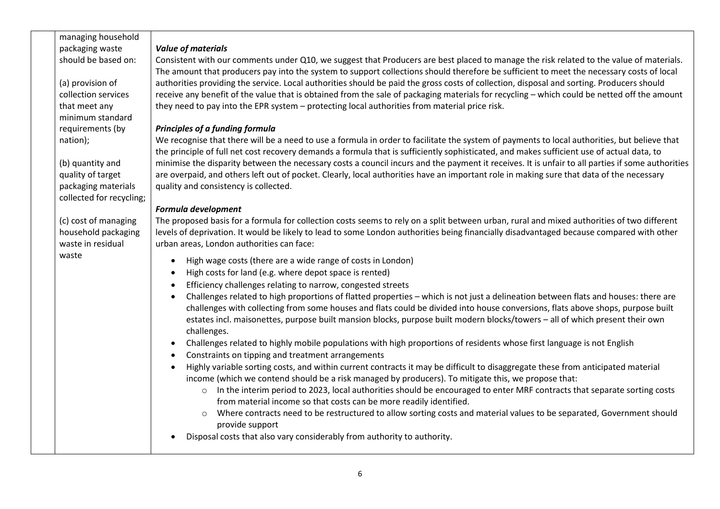| managing household                                                                                                                                                                                                                                                    |  |
|-----------------------------------------------------------------------------------------------------------------------------------------------------------------------------------------------------------------------------------------------------------------------|--|
| packaging waste<br><b>Value of materials</b>                                                                                                                                                                                                                          |  |
| should be based on:<br>Consistent with our comments under Q10, we suggest that Producers are best placed to manage the risk related to the value of materials.                                                                                                        |  |
| The amount that producers pay into the system to support collections should therefore be sufficient to meet the necessary costs of local                                                                                                                              |  |
| authorities providing the service. Local authorities should be paid the gross costs of collection, disposal and sorting. Producers should<br>(a) provision of                                                                                                         |  |
| collection services<br>receive any benefit of the value that is obtained from the sale of packaging materials for recycling - which could be netted off the amount                                                                                                    |  |
| they need to pay into the EPR system - protecting local authorities from material price risk.<br>that meet any                                                                                                                                                        |  |
| minimum standard                                                                                                                                                                                                                                                      |  |
| requirements (by<br>Principles of a funding formula                                                                                                                                                                                                                   |  |
| We recognise that there will be a need to use a formula in order to facilitate the system of payments to local authorities, but believe that<br>nation);                                                                                                              |  |
| the principle of full net cost recovery demands a formula that is sufficiently sophisticated, and makes sufficient use of actual data, to                                                                                                                             |  |
| minimise the disparity between the necessary costs a council incurs and the payment it receives. It is unfair to all parties if some authorities<br>(b) quantity and                                                                                                  |  |
| are overpaid, and others left out of pocket. Clearly, local authorities have an important role in making sure that data of the necessary<br>quality of target                                                                                                         |  |
| packaging materials<br>quality and consistency is collected.                                                                                                                                                                                                          |  |
| collected for recycling;                                                                                                                                                                                                                                              |  |
| Formula development                                                                                                                                                                                                                                                   |  |
| (c) cost of managing<br>The proposed basis for a formula for collection costs seems to rely on a split between urban, rural and mixed authorities of two different                                                                                                    |  |
| household packaging<br>levels of deprivation. It would be likely to lead to some London authorities being financially disadvantaged because compared with other                                                                                                       |  |
| waste in residual<br>urban areas, London authorities can face:                                                                                                                                                                                                        |  |
| waste<br>High wage costs (there are a wide range of costs in London)<br>$\bullet$                                                                                                                                                                                     |  |
| High costs for land (e.g. where depot space is rented)<br>$\bullet$                                                                                                                                                                                                   |  |
| Efficiency challenges relating to narrow, congested streets<br>$\bullet$                                                                                                                                                                                              |  |
| Challenges related to high proportions of flatted properties - which is not just a delineation between flats and houses: there are<br>challenges with collecting from some houses and flats could be divided into house conversions, flats above shops, purpose built |  |
| estates incl. maisonettes, purpose built mansion blocks, purpose built modern blocks/towers - all of which present their own                                                                                                                                          |  |
| challenges.                                                                                                                                                                                                                                                           |  |
| Challenges related to highly mobile populations with high proportions of residents whose first language is not English<br>$\bullet$                                                                                                                                   |  |
| Constraints on tipping and treatment arrangements<br>$\bullet$                                                                                                                                                                                                        |  |
| Highly variable sorting costs, and within current contracts it may be difficult to disaggregate these from anticipated material<br>$\bullet$                                                                                                                          |  |
| income (which we contend should be a risk managed by producers). To mitigate this, we propose that:                                                                                                                                                                   |  |
| In the interim period to 2023, local authorities should be encouraged to enter MRF contracts that separate sorting costs<br>$\circ$                                                                                                                                   |  |
| from material income so that costs can be more readily identified.                                                                                                                                                                                                    |  |
| Where contracts need to be restructured to allow sorting costs and material values to be separated, Government should<br>$\circ$<br>provide support                                                                                                                   |  |
| Disposal costs that also vary considerably from authority to authority.                                                                                                                                                                                               |  |
|                                                                                                                                                                                                                                                                       |  |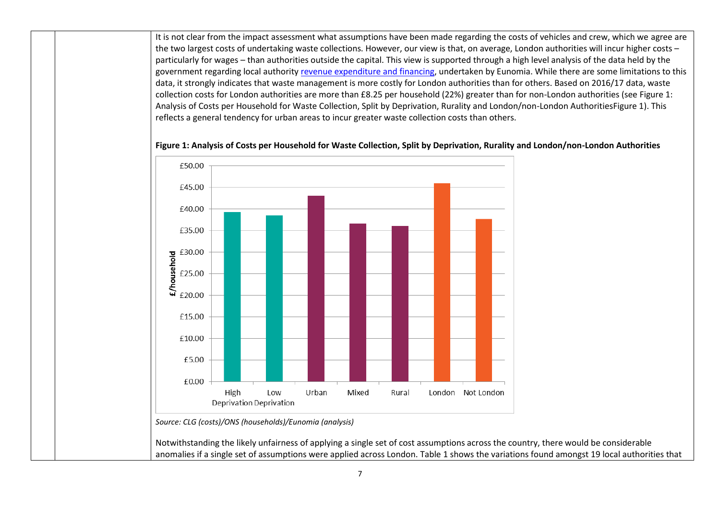It is not clear from the impact assessment what assumptions have been made regarding the costs of vehicles and crew, which we agree are the two largest costs of undertaking waste collections. However, our view is that, on average, London authorities will incur higher costs – particularly for wages – than authorities outside the capital. This view is supported through a high level analysis of the data held by the government regarding local authorit[y revenue expenditure and financing,](https://www.gov.uk/government/collections/local-authority-revenue-expenditure-and-financing) undertaken by Eunomia. While there are some limitations to this data, it strongly indicates that waste management is more costly for London authorities than for others. Based on 2016/17 data, waste collection costs for London authorities are more than £8.25 per household (22%) greater than for non-London authorities (se[e Figure 1:](#page-6-0)  [Analysis of Costs per Household for Waste Collection, Split by Deprivation, Rurality and London/non-London AuthoritiesF](#page-6-0)igure 1). This reflects a general tendency for urban areas to incur greater waste collection costs than others.



<span id="page-6-0"></span>**Figure 1: Analysis of Costs per Household for Waste Collection, Split by Deprivation, Rurality and London/non-London Authorities**

*Source: CLG (costs)/ONS (households)/Eunomia (analysis)*

Notwithstanding the likely unfairness of applying a single set of cost assumptions across the country, there would be considerable anomalies if a single set of assumptions were applied across London. [Table 1](#page-7-0) shows the variations found amongst 19 local authorities that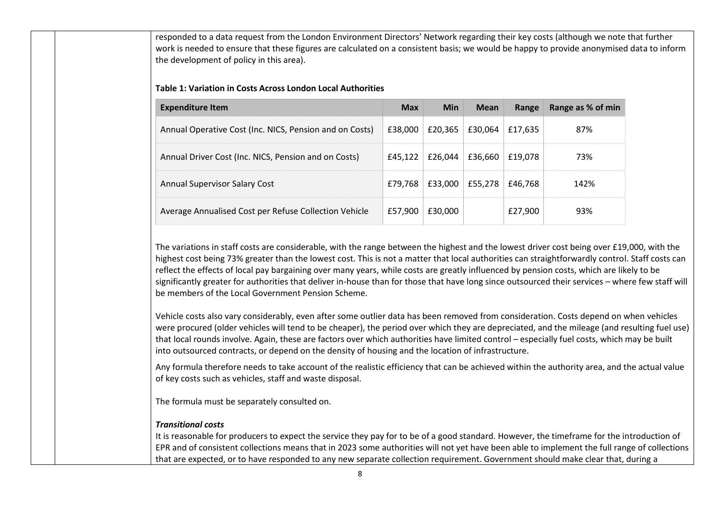responded to a data request from the London Environment Directors' Network regarding their key costs (although we note that further work is needed to ensure that these figures are calculated on a consistent basis; we would be happy to provide anonymised data to inform the development of policy in this area).

#### <span id="page-7-0"></span>**Table 1: Variation in Costs Across London Local Authorities**

| <b>Expenditure Item</b>                                 | <b>Max</b> | <b>Min</b> | <b>Mean</b> | Range   | Range as % of min |
|---------------------------------------------------------|------------|------------|-------------|---------|-------------------|
| Annual Operative Cost (Inc. NICS, Pension and on Costs) | £38,000    | £20,365    | £30,064     | £17.635 | 87%               |
| Annual Driver Cost (Inc. NICS, Pension and on Costs)    | £45.122    | £26,044    | £36,660     | £19,078 | 73%               |
| <b>Annual Supervisor Salary Cost</b>                    | £79,768    | £33,000    | £55,278     | £46,768 | 142%              |
| Average Annualised Cost per Refuse Collection Vehicle   | £57,900    | £30,000    |             | £27,900 | 93%               |

The variations in staff costs are considerable, with the range between the highest and the lowest driver cost being over £19,000, with the highest cost being 73% greater than the lowest cost. This is not a matter that local authorities can straightforwardly control. Staff costs can reflect the effects of local pay bargaining over many years, while costs are greatly influenced by pension costs, which are likely to be significantly greater for authorities that deliver in-house than for those that have long since outsourced their services – where few staff will be members of the Local Government Pension Scheme.

Vehicle costs also vary considerably, even after some outlier data has been removed from consideration. Costs depend on when vehicles were procured (older vehicles will tend to be cheaper), the period over which they are depreciated, and the mileage (and resulting fuel use) that local rounds involve. Again, these are factors over which authorities have limited control – especially fuel costs, which may be built into outsourced contracts, or depend on the density of housing and the location of infrastructure.

Any formula therefore needs to take account of the realistic efficiency that can be achieved within the authority area, and the actual value of key costs such as vehicles, staff and waste disposal.

The formula must be separately consulted on.

### *Transitional costs*

It is reasonable for producers to expect the service they pay for to be of a good standard. However, the timeframe for the introduction of EPR and of consistent collections means that in 2023 some authorities will not yet have been able to implement the full range of collections that are expected, or to have responded to any new separate collection requirement. Government should make clear that, during a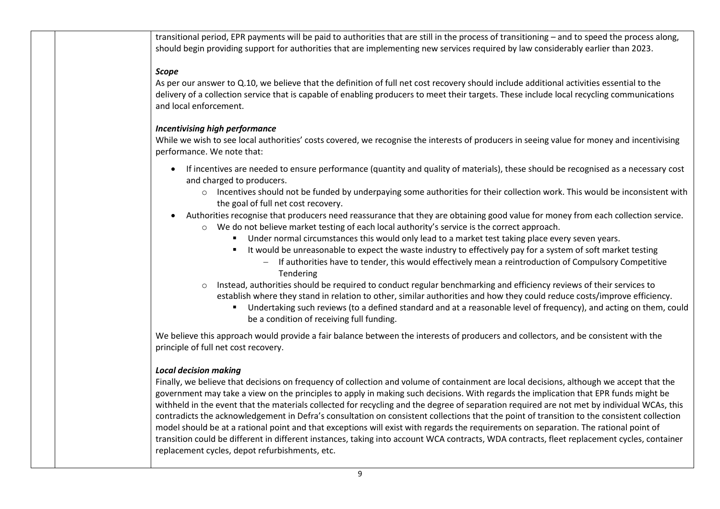transitional period, EPR payments will be paid to authorities that are still in the process of transitioning – and to speed the process along, should begin providing support for authorities that are implementing new services required by law considerably earlier than 2023.

### *Scope*

As per our answer to Q.10, we believe that the definition of full net cost recovery should include additional activities essential to the delivery of a collection service that is capable of enabling producers to meet their targets. These include local recycling communications and local enforcement.

## *Incentivising high performance*

While we wish to see local authorities' costs covered, we recognise the interests of producers in seeing value for money and incentivising performance. We note that:

- If incentives are needed to ensure performance (quantity and quality of materials), these should be recognised as a necessary cost and charged to producers.
	- $\circ$  Incentives should not be funded by underpaying some authorities for their collection work. This would be inconsistent with the goal of full net cost recovery.
- Authorities recognise that producers need reassurance that they are obtaining good value for money from each collection service.
	- $\circ$  We do not believe market testing of each local authority's service is the correct approach.
		- Under normal circumstances this would only lead to a market test taking place every seven years.
		- It would be unreasonable to expect the waste industry to effectively pay for a system of soft market testing
			- − If authorities have to tender, this would effectively mean a reintroduction of Compulsory Competitive Tendering
	- o Instead, authorities should be required to conduct regular benchmarking and efficiency reviews of their services to establish where they stand in relation to other, similar authorities and how they could reduce costs/improve efficiency.
		- Undertaking such reviews (to a defined standard and at a reasonable level of frequency), and acting on them, could be a condition of receiving full funding.

We believe this approach would provide a fair balance between the interests of producers and collectors, and be consistent with the principle of full net cost recovery.

# *Local decision making*

Finally, we believe that decisions on frequency of collection and volume of containment are local decisions, although we accept that the government may take a view on the principles to apply in making such decisions. With regards the implication that EPR funds might be withheld in the event that the materials collected for recycling and the degree of separation required are not met by individual WCAs, this contradicts the acknowledgement in Defra's consultation on consistent collections that the point of transition to the consistent collection model should be at a rational point and that exceptions will exist with regards the requirements on separation. The rational point of transition could be different in different instances, taking into account WCA contracts, WDA contracts, fleet replacement cycles, container replacement cycles, depot refurbishments, etc.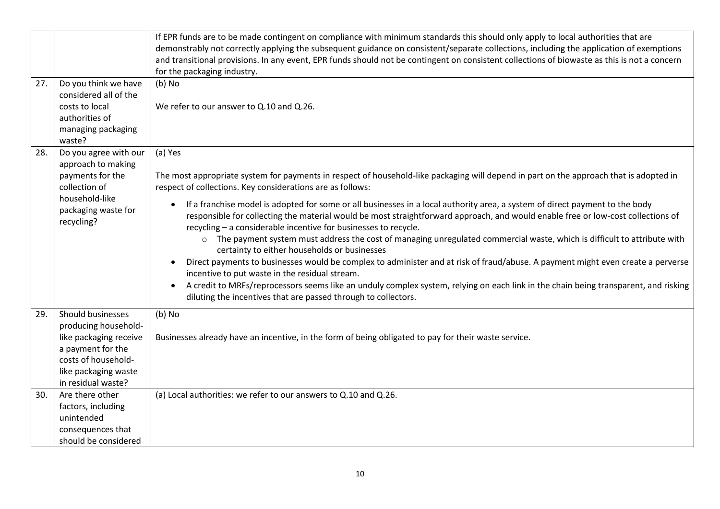|     |                                   | If EPR funds are to be made contingent on compliance with minimum standards this should only apply to local authorities that are                                                                     |
|-----|-----------------------------------|------------------------------------------------------------------------------------------------------------------------------------------------------------------------------------------------------|
|     |                                   | demonstrably not correctly applying the subsequent guidance on consistent/separate collections, including the application of exemptions                                                              |
|     |                                   | and transitional provisions. In any event, EPR funds should not be contingent on consistent collections of biowaste as this is not a concern                                                         |
|     |                                   | for the packaging industry.                                                                                                                                                                          |
| 27. | Do you think we have              | $(b)$ No                                                                                                                                                                                             |
|     | considered all of the             |                                                                                                                                                                                                      |
|     | costs to local                    | We refer to our answer to Q.10 and Q.26.                                                                                                                                                             |
|     | authorities of                    |                                                                                                                                                                                                      |
|     | managing packaging                |                                                                                                                                                                                                      |
|     | waste?                            |                                                                                                                                                                                                      |
| 28. | Do you agree with our             | (a) Yes                                                                                                                                                                                              |
|     | approach to making                |                                                                                                                                                                                                      |
|     | payments for the<br>collection of | The most appropriate system for payments in respect of household-like packaging will depend in part on the approach that is adopted in<br>respect of collections. Key considerations are as follows: |
|     | household-like                    |                                                                                                                                                                                                      |
|     | packaging waste for               | If a franchise model is adopted for some or all businesses in a local authority area, a system of direct payment to the body                                                                         |
|     | recycling?                        | responsible for collecting the material would be most straightforward approach, and would enable free or low-cost collections of                                                                     |
|     |                                   | recycling - a considerable incentive for businesses to recycle.                                                                                                                                      |
|     |                                   | o The payment system must address the cost of managing unregulated commercial waste, which is difficult to attribute with<br>certainty to either households or businesses                            |
|     |                                   | Direct payments to businesses would be complex to administer and at risk of fraud/abuse. A payment might even create a perverse                                                                      |
|     |                                   | incentive to put waste in the residual stream.                                                                                                                                                       |
|     |                                   | A credit to MRFs/reprocessors seems like an unduly complex system, relying on each link in the chain being transparent, and risking<br>$\bullet$                                                     |
|     |                                   | diluting the incentives that are passed through to collectors.                                                                                                                                       |
| 29. | Should businesses                 |                                                                                                                                                                                                      |
|     | producing household-              | $(b)$ No                                                                                                                                                                                             |
|     | like packaging receive            | Businesses already have an incentive, in the form of being obligated to pay for their waste service.                                                                                                 |
|     | a payment for the                 |                                                                                                                                                                                                      |
|     | costs of household-               |                                                                                                                                                                                                      |
|     | like packaging waste              |                                                                                                                                                                                                      |
|     | in residual waste?                |                                                                                                                                                                                                      |
| 30. | Are there other                   | (a) Local authorities: we refer to our answers to Q.10 and Q.26.                                                                                                                                     |
|     | factors, including                |                                                                                                                                                                                                      |
|     | unintended                        |                                                                                                                                                                                                      |
|     | consequences that                 |                                                                                                                                                                                                      |
|     | should be considered              |                                                                                                                                                                                                      |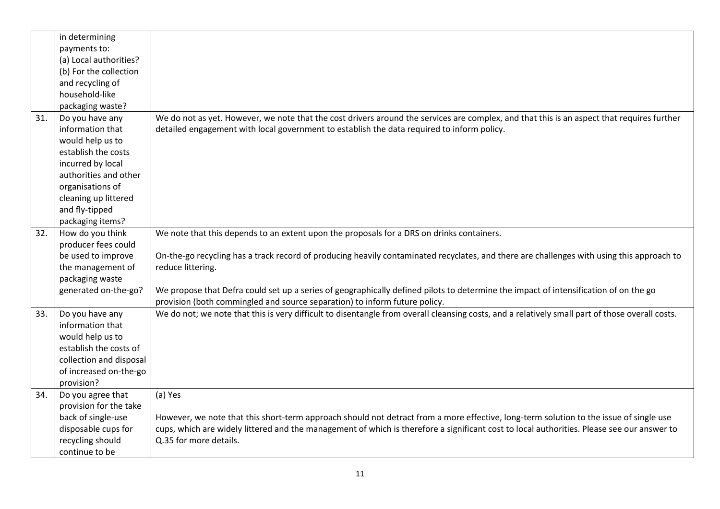|     | in determining          |                                                                                                                                                                                                                    |
|-----|-------------------------|--------------------------------------------------------------------------------------------------------------------------------------------------------------------------------------------------------------------|
|     | payments to:            |                                                                                                                                                                                                                    |
|     | (a) Local authorities?  |                                                                                                                                                                                                                    |
|     | (b) For the collection  |                                                                                                                                                                                                                    |
|     | and recycling of        |                                                                                                                                                                                                                    |
|     | household-like          |                                                                                                                                                                                                                    |
|     | packaging waste?        |                                                                                                                                                                                                                    |
| 31. | Do you have any         | We do not as yet. However, we note that the cost drivers around the services are complex, and that this is an aspect that requires further                                                                         |
|     | information that        | detailed engagement with local government to establish the data required to inform policy.                                                                                                                         |
|     | would help us to        |                                                                                                                                                                                                                    |
|     | establish the costs     |                                                                                                                                                                                                                    |
|     | incurred by local       |                                                                                                                                                                                                                    |
|     | authorities and other   |                                                                                                                                                                                                                    |
|     | organisations of        |                                                                                                                                                                                                                    |
|     | cleaning up littered    |                                                                                                                                                                                                                    |
|     | and fly-tipped          |                                                                                                                                                                                                                    |
|     | packaging items?        |                                                                                                                                                                                                                    |
| 32. | How do you think        | We note that this depends to an extent upon the proposals for a DRS on drinks containers.                                                                                                                          |
|     | producer fees could     |                                                                                                                                                                                                                    |
|     | be used to improve      | On-the-go recycling has a track record of producing heavily contaminated recyclates, and there are challenges with using this approach to                                                                          |
|     | the management of       | reduce littering.                                                                                                                                                                                                  |
|     | packaging waste         |                                                                                                                                                                                                                    |
|     | generated on-the-go?    | We propose that Defra could set up a series of geographically defined pilots to determine the impact of intensification of on the go<br>provision (both commingled and source separation) to inform future policy. |
| 33. | Do you have any         | We do not; we note that this is very difficult to disentangle from overall cleansing costs, and a relatively small part of those overall costs.                                                                    |
|     | information that        |                                                                                                                                                                                                                    |
|     | would help us to        |                                                                                                                                                                                                                    |
|     | establish the costs of  |                                                                                                                                                                                                                    |
|     | collection and disposal |                                                                                                                                                                                                                    |
|     | of increased on-the-go  |                                                                                                                                                                                                                    |
|     | provision?              |                                                                                                                                                                                                                    |
| 34. | Do you agree that       | (a) Yes                                                                                                                                                                                                            |
|     | provision for the take  |                                                                                                                                                                                                                    |
|     | back of single-use      | However, we note that this short-term approach should not detract from a more effective, long-term solution to the issue of single use                                                                             |
|     | disposable cups for     | cups, which are widely littered and the management of which is therefore a significant cost to local authorities. Please see our answer to                                                                         |
|     | recycling should        | Q.35 for more details.                                                                                                                                                                                             |
|     | continue to be          |                                                                                                                                                                                                                    |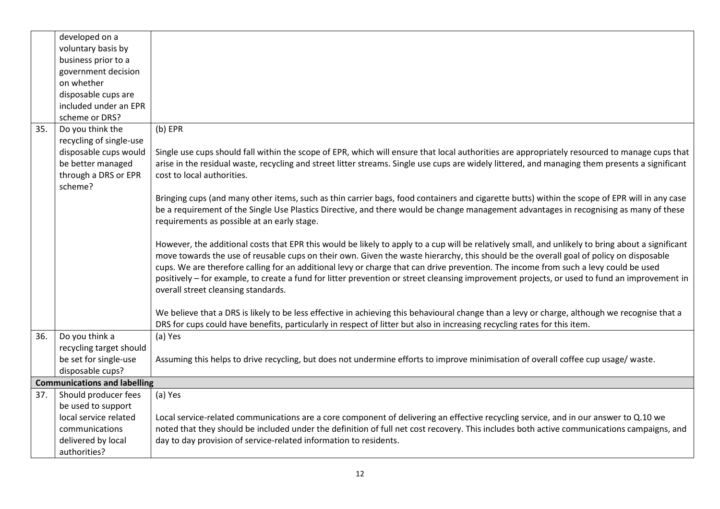|     | developed on a                      |                                                                                                                                                   |
|-----|-------------------------------------|---------------------------------------------------------------------------------------------------------------------------------------------------|
|     | voluntary basis by                  |                                                                                                                                                   |
|     | business prior to a                 |                                                                                                                                                   |
|     | government decision                 |                                                                                                                                                   |
|     | on whether                          |                                                                                                                                                   |
|     | disposable cups are                 |                                                                                                                                                   |
|     | included under an EPR               |                                                                                                                                                   |
|     | scheme or DRS?                      |                                                                                                                                                   |
| 35. | Do you think the                    | $(b)$ EPR                                                                                                                                         |
|     | recycling of single-use             |                                                                                                                                                   |
|     | disposable cups would               | Single use cups should fall within the scope of EPR, which will ensure that local authorities are appropriately resourced to manage cups that     |
|     | be better managed                   | arise in the residual waste, recycling and street litter streams. Single use cups are widely littered, and managing them presents a significant   |
|     | through a DRS or EPR                | cost to local authorities.                                                                                                                        |
|     | scheme?                             |                                                                                                                                                   |
|     |                                     | Bringing cups (and many other items, such as thin carrier bags, food containers and cigarette butts) within the scope of EPR will in any case     |
|     |                                     | be a requirement of the Single Use Plastics Directive, and there would be change management advantages in recognising as many of these            |
|     |                                     | requirements as possible at an early stage.                                                                                                       |
|     |                                     |                                                                                                                                                   |
|     |                                     | However, the additional costs that EPR this would be likely to apply to a cup will be relatively small, and unlikely to bring about a significant |
|     |                                     | move towards the use of reusable cups on their own. Given the waste hierarchy, this should be the overall goal of policy on disposable            |
|     |                                     | cups. We are therefore calling for an additional levy or charge that can drive prevention. The income from such a levy could be used              |
|     |                                     | positively - for example, to create a fund for litter prevention or street cleansing improvement projects, or used to fund an improvement in      |
|     |                                     | overall street cleansing standards.                                                                                                               |
|     |                                     |                                                                                                                                                   |
|     |                                     | We believe that a DRS is likely to be less effective in achieving this behavioural change than a levy or charge, although we recognise that a     |
|     |                                     | DRS for cups could have benefits, particularly in respect of litter but also in increasing recycling rates for this item.                         |
| 36. | Do you think a                      | (a) Yes                                                                                                                                           |
|     | recycling target should             |                                                                                                                                                   |
|     | be set for single-use               | Assuming this helps to drive recycling, but does not undermine efforts to improve minimisation of overall coffee cup usage/ waste.                |
|     | disposable cups?                    |                                                                                                                                                   |
|     | <b>Communications and labelling</b> |                                                                                                                                                   |
| 37. | Should producer fees                | (a) Yes                                                                                                                                           |
|     | be used to support                  |                                                                                                                                                   |
|     | local service related               | Local service-related communications are a core component of delivering an effective recycling service, and in our answer to Q.10 we              |
|     | communications                      | noted that they should be included under the definition of full net cost recovery. This includes both active communications campaigns, and        |
|     | delivered by local                  | day to day provision of service-related information to residents.                                                                                 |
|     | authorities?                        |                                                                                                                                                   |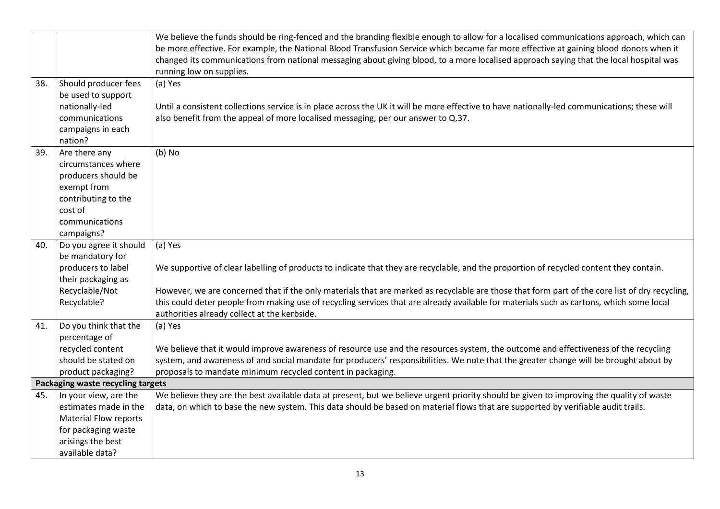|     |                                   | We believe the funds should be ring-fenced and the branding flexible enough to allow for a localised communications approach, which can        |
|-----|-----------------------------------|------------------------------------------------------------------------------------------------------------------------------------------------|
|     |                                   | be more effective. For example, the National Blood Transfusion Service which became far more effective at gaining blood donors when it         |
|     |                                   | changed its communications from national messaging about giving blood, to a more localised approach saying that the local hospital was         |
|     |                                   | running low on supplies.                                                                                                                       |
| 38. | Should producer fees              | (a) Yes                                                                                                                                        |
|     | be used to support                |                                                                                                                                                |
|     | nationally-led                    | Until a consistent collections service is in place across the UK it will be more effective to have nationally-led communications; these will   |
|     | communications                    | also benefit from the appeal of more localised messaging, per our answer to Q.37.                                                              |
|     | campaigns in each                 |                                                                                                                                                |
|     | nation?                           |                                                                                                                                                |
| 39. | Are there any                     | $(b)$ No                                                                                                                                       |
|     | circumstances where               |                                                                                                                                                |
|     | producers should be               |                                                                                                                                                |
|     | exempt from                       |                                                                                                                                                |
|     | contributing to the               |                                                                                                                                                |
|     | cost of                           |                                                                                                                                                |
|     | communications                    |                                                                                                                                                |
|     | campaigns?                        |                                                                                                                                                |
| 40. | Do you agree it should            | (a) Yes                                                                                                                                        |
|     | be mandatory for                  |                                                                                                                                                |
|     | producers to label                | We supportive of clear labelling of products to indicate that they are recyclable, and the proportion of recycled content they contain.        |
|     | their packaging as                |                                                                                                                                                |
|     | Recyclable/Not                    | However, we are concerned that if the only materials that are marked as recyclable are those that form part of the core list of dry recycling, |
|     | Recyclable?                       | this could deter people from making use of recycling services that are already available for materials such as cartons, which some local       |
|     |                                   | authorities already collect at the kerbside.                                                                                                   |
| 41. | Do you think that the             | (a) Yes                                                                                                                                        |
|     | percentage of                     |                                                                                                                                                |
|     | recycled content                  | We believe that it would improve awareness of resource use and the resources system, the outcome and effectiveness of the recycling            |
|     | should be stated on               | system, and awareness of and social mandate for producers' responsibilities. We note that the greater change will be brought about by          |
|     | product packaging?                | proposals to mandate minimum recycled content in packaging.                                                                                    |
|     | Packaging waste recycling targets |                                                                                                                                                |
| 45. | In your view, are the             | We believe they are the best available data at present, but we believe urgent priority should be given to improving the quality of waste       |
|     | estimates made in the             | data, on which to base the new system. This data should be based on material flows that are supported by verifiable audit trails.              |
|     | <b>Material Flow reports</b>      |                                                                                                                                                |
|     | for packaging waste               |                                                                                                                                                |
|     | arisings the best                 |                                                                                                                                                |
|     | available data?                   |                                                                                                                                                |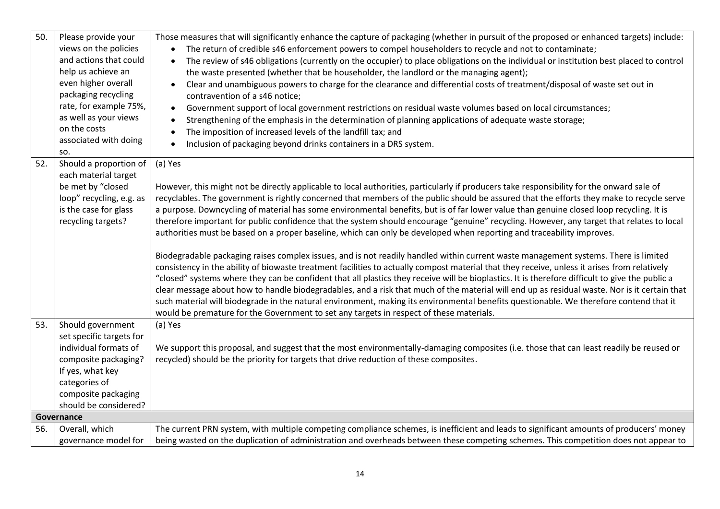| 50. | Please provide your<br>views on the policies<br>and actions that could<br>help us achieve an<br>even higher overall<br>packaging recycling<br>rate, for example 75%,<br>as well as your views<br>on the costs<br>associated with doing<br>SO. | Those measures that will significantly enhance the capture of packaging (whether in pursuit of the proposed or enhanced targets) include:<br>The return of credible s46 enforcement powers to compel householders to recycle and not to contaminate;<br>The review of s46 obligations (currently on the occupier) to place obligations on the individual or institution best placed to control<br>the waste presented (whether that be householder, the landlord or the managing agent);<br>Clear and unambiguous powers to charge for the clearance and differential costs of treatment/disposal of waste set out in<br>contravention of a s46 notice;<br>Government support of local government restrictions on residual waste volumes based on local circumstances;<br>$\bullet$<br>Strengthening of the emphasis in the determination of planning applications of adequate waste storage;<br>The imposition of increased levels of the landfill tax; and<br>Inclusion of packaging beyond drinks containers in a DRS system.                                                                                                                                                                                                                                                                                                                                                                                                                                                                                                                  |
|-----|-----------------------------------------------------------------------------------------------------------------------------------------------------------------------------------------------------------------------------------------------|---------------------------------------------------------------------------------------------------------------------------------------------------------------------------------------------------------------------------------------------------------------------------------------------------------------------------------------------------------------------------------------------------------------------------------------------------------------------------------------------------------------------------------------------------------------------------------------------------------------------------------------------------------------------------------------------------------------------------------------------------------------------------------------------------------------------------------------------------------------------------------------------------------------------------------------------------------------------------------------------------------------------------------------------------------------------------------------------------------------------------------------------------------------------------------------------------------------------------------------------------------------------------------------------------------------------------------------------------------------------------------------------------------------------------------------------------------------------------------------------------------------------------------------------------|
| 52. | Should a proportion of<br>each material target<br>be met by "closed<br>loop" recycling, e.g. as<br>is the case for glass<br>recycling targets?                                                                                                | (a) Yes<br>However, this might not be directly applicable to local authorities, particularly if producers take responsibility for the onward sale of<br>recyclables. The government is rightly concerned that members of the public should be assured that the efforts they make to recycle serve<br>a purpose. Downcycling of material has some environmental benefits, but is of far lower value than genuine closed loop recycling. It is<br>therefore important for public confidence that the system should encourage "genuine" recycling. However, any target that relates to local<br>authorities must be based on a proper baseline, which can only be developed when reporting and traceability improves.<br>Biodegradable packaging raises complex issues, and is not readily handled within current waste management systems. There is limited<br>consistency in the ability of biowaste treatment facilities to actually compost material that they receive, unless it arises from relatively<br>"closed" systems where they can be confident that all plastics they receive will be bioplastics. It is therefore difficult to give the public a<br>clear message about how to handle biodegradables, and a risk that much of the material will end up as residual waste. Nor is it certain that<br>such material will biodegrade in the natural environment, making its environmental benefits questionable. We therefore contend that it<br>would be premature for the Government to set any targets in respect of these materials. |
| 53. | Should government<br>set specific targets for<br>individual formats of<br>composite packaging?<br>If yes, what key<br>categories of<br>composite packaging<br>should be considered?                                                           | (a) Yes<br>We support this proposal, and suggest that the most environmentally-damaging composites (i.e. those that can least readily be reused or<br>recycled) should be the priority for targets that drive reduction of these composites.                                                                                                                                                                                                                                                                                                                                                                                                                                                                                                                                                                                                                                                                                                                                                                                                                                                                                                                                                                                                                                                                                                                                                                                                                                                                                                      |
|     | Governance                                                                                                                                                                                                                                    |                                                                                                                                                                                                                                                                                                                                                                                                                                                                                                                                                                                                                                                                                                                                                                                                                                                                                                                                                                                                                                                                                                                                                                                                                                                                                                                                                                                                                                                                                                                                                   |
| 56. | Overall, which                                                                                                                                                                                                                                | The current PRN system, with multiple competing compliance schemes, is inefficient and leads to significant amounts of producers' money                                                                                                                                                                                                                                                                                                                                                                                                                                                                                                                                                                                                                                                                                                                                                                                                                                                                                                                                                                                                                                                                                                                                                                                                                                                                                                                                                                                                           |
|     | governance model for                                                                                                                                                                                                                          | being wasted on the duplication of administration and overheads between these competing schemes. This competition does not appear to                                                                                                                                                                                                                                                                                                                                                                                                                                                                                                                                                                                                                                                                                                                                                                                                                                                                                                                                                                                                                                                                                                                                                                                                                                                                                                                                                                                                              |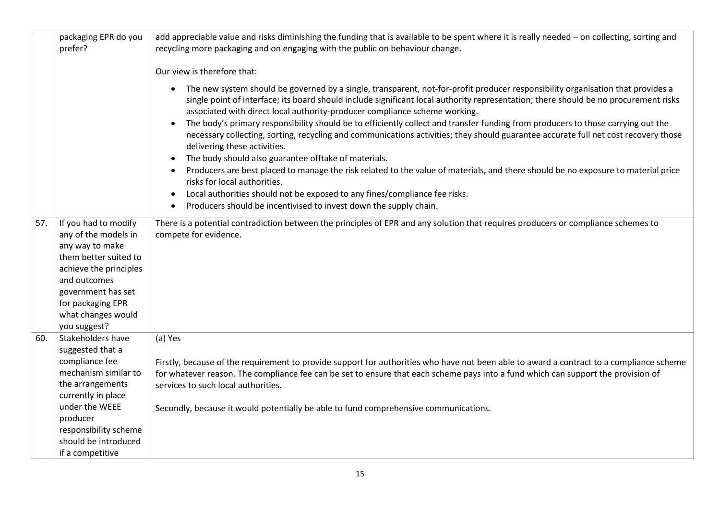| packaging EPR do you<br>prefer?                                                                                                                                                                                            | add appreciable value and risks diminishing the funding that is available to be spent where it is really needed - on collecting, sorting and<br>recycling more packaging and on engaging with the public on behaviour change.                                                                                                                                                                                                                                                                                                                                                                                                                                                                                                                                                                                                                                                                                                                                                                                                                                                                                                  |
|----------------------------------------------------------------------------------------------------------------------------------------------------------------------------------------------------------------------------|--------------------------------------------------------------------------------------------------------------------------------------------------------------------------------------------------------------------------------------------------------------------------------------------------------------------------------------------------------------------------------------------------------------------------------------------------------------------------------------------------------------------------------------------------------------------------------------------------------------------------------------------------------------------------------------------------------------------------------------------------------------------------------------------------------------------------------------------------------------------------------------------------------------------------------------------------------------------------------------------------------------------------------------------------------------------------------------------------------------------------------|
|                                                                                                                                                                                                                            | Our view is therefore that:                                                                                                                                                                                                                                                                                                                                                                                                                                                                                                                                                                                                                                                                                                                                                                                                                                                                                                                                                                                                                                                                                                    |
|                                                                                                                                                                                                                            | The new system should be governed by a single, transparent, not-for-profit producer responsibility organisation that provides a<br>$\bullet$<br>single point of interface; its board should include significant local authority representation; there should be no procurement risks<br>associated with direct local authority-producer compliance scheme working.<br>The body's primary responsibility should be to efficiently collect and transfer funding from producers to those carrying out the<br>$\bullet$<br>necessary collecting, sorting, recycling and communications activities; they should guarantee accurate full net cost recovery those<br>delivering these activities.<br>The body should also guarantee offtake of materials.<br>$\bullet$<br>Producers are best placed to manage the risk related to the value of materials, and there should be no exposure to material price<br>$\bullet$<br>risks for local authorities.<br>Local authorities should not be exposed to any fines/compliance fee risks.<br>$\bullet$<br>Producers should be incentivised to invest down the supply chain.<br>$\bullet$ |
| 57.<br>If you had to modify<br>any of the models in<br>any way to make<br>them better suited to<br>achieve the principles<br>and outcomes<br>government has set<br>for packaging EPR<br>what changes would<br>you suggest? | There is a potential contradiction between the principles of EPR and any solution that requires producers or compliance schemes to<br>compete for evidence.                                                                                                                                                                                                                                                                                                                                                                                                                                                                                                                                                                                                                                                                                                                                                                                                                                                                                                                                                                    |
| 60.<br>Stakeholders have<br>suggested that a<br>compliance fee<br>mechanism similar to<br>the arrangements                                                                                                                 | (a) Yes<br>Firstly, because of the requirement to provide support for authorities who have not been able to award a contract to a compliance scheme<br>for whatever reason. The compliance fee can be set to ensure that each scheme pays into a fund which can support the provision of<br>services to such local authorities.                                                                                                                                                                                                                                                                                                                                                                                                                                                                                                                                                                                                                                                                                                                                                                                                |
| currently in place<br>under the WEEE<br>producer<br>responsibility scheme<br>should be introduced                                                                                                                          | Secondly, because it would potentially be able to fund comprehensive communications.                                                                                                                                                                                                                                                                                                                                                                                                                                                                                                                                                                                                                                                                                                                                                                                                                                                                                                                                                                                                                                           |
| if a competitive                                                                                                                                                                                                           |                                                                                                                                                                                                                                                                                                                                                                                                                                                                                                                                                                                                                                                                                                                                                                                                                                                                                                                                                                                                                                                                                                                                |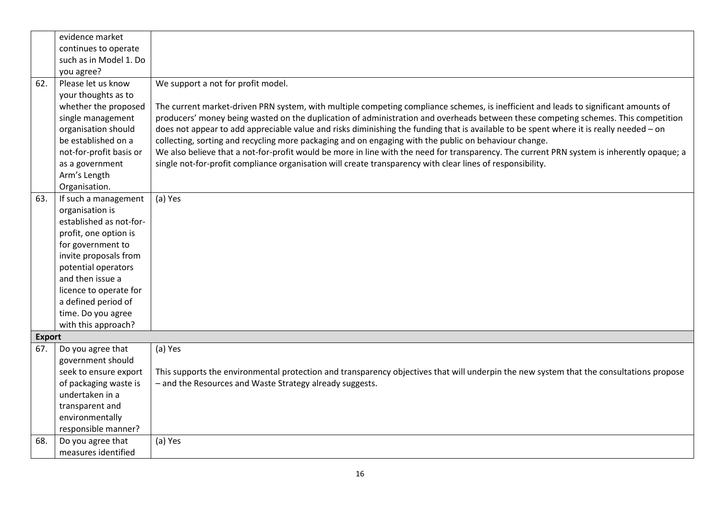|               | evidence market         |                                                                                                                                            |
|---------------|-------------------------|--------------------------------------------------------------------------------------------------------------------------------------------|
|               | continues to operate    |                                                                                                                                            |
|               | such as in Model 1. Do  |                                                                                                                                            |
|               | you agree?              |                                                                                                                                            |
| 62.           | Please let us know      | We support a not for profit model.                                                                                                         |
|               | your thoughts as to     |                                                                                                                                            |
|               | whether the proposed    | The current market-driven PRN system, with multiple competing compliance schemes, is inefficient and leads to significant amounts of       |
|               | single management       | producers' money being wasted on the duplication of administration and overheads between these competing schemes. This competition         |
|               | organisation should     | does not appear to add appreciable value and risks diminishing the funding that is available to be spent where it is really needed - on    |
|               | be established on a     | collecting, sorting and recycling more packaging and on engaging with the public on behaviour change.                                      |
|               | not-for-profit basis or | We also believe that a not-for-profit would be more in line with the need for transparency. The current PRN system is inherently opaque; a |
|               | as a government         | single not-for-profit compliance organisation will create transparency with clear lines of responsibility.                                 |
|               | Arm's Length            |                                                                                                                                            |
|               | Organisation.           |                                                                                                                                            |
| 63.           | If such a management    | (a) Yes                                                                                                                                    |
|               | organisation is         |                                                                                                                                            |
|               | established as not-for- |                                                                                                                                            |
|               | profit, one option is   |                                                                                                                                            |
|               | for government to       |                                                                                                                                            |
|               | invite proposals from   |                                                                                                                                            |
|               | potential operators     |                                                                                                                                            |
|               | and then issue a        |                                                                                                                                            |
|               | licence to operate for  |                                                                                                                                            |
|               | a defined period of     |                                                                                                                                            |
|               | time. Do you agree      |                                                                                                                                            |
|               | with this approach?     |                                                                                                                                            |
| <b>Export</b> |                         |                                                                                                                                            |
| 67.           | Do you agree that       | (a) Yes                                                                                                                                    |
|               | government should       |                                                                                                                                            |
|               | seek to ensure export   | This supports the environmental protection and transparency objectives that will underpin the new system that the consultations propose    |
|               | of packaging waste is   | - and the Resources and Waste Strategy already suggests.                                                                                   |
|               | undertaken in a         |                                                                                                                                            |
|               | transparent and         |                                                                                                                                            |
|               | environmentally         |                                                                                                                                            |
|               | responsible manner?     |                                                                                                                                            |
| 68.           | Do you agree that       | (a) Yes                                                                                                                                    |
|               | measures identified     |                                                                                                                                            |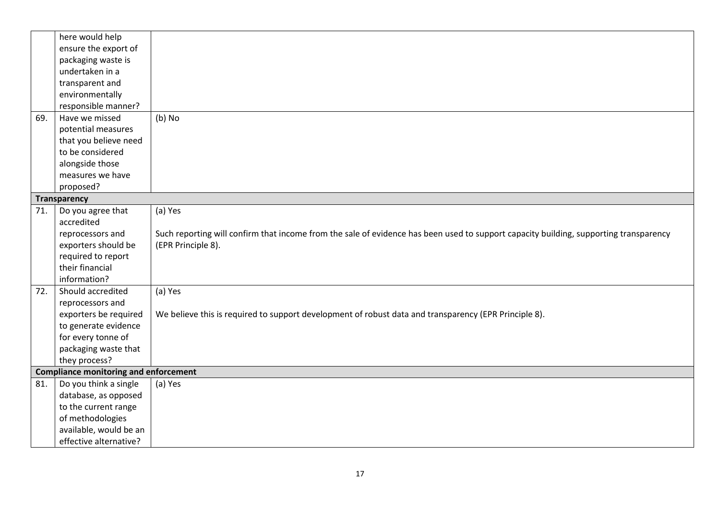|     | here would help                              |                                                                                                                                       |  |  |  |
|-----|----------------------------------------------|---------------------------------------------------------------------------------------------------------------------------------------|--|--|--|
|     | ensure the export of                         |                                                                                                                                       |  |  |  |
|     | packaging waste is                           |                                                                                                                                       |  |  |  |
|     | undertaken in a                              |                                                                                                                                       |  |  |  |
|     | transparent and                              |                                                                                                                                       |  |  |  |
|     | environmentally                              |                                                                                                                                       |  |  |  |
|     | responsible manner?                          |                                                                                                                                       |  |  |  |
| 69. | Have we missed                               | $(b)$ No                                                                                                                              |  |  |  |
|     | potential measures                           |                                                                                                                                       |  |  |  |
|     | that you believe need                        |                                                                                                                                       |  |  |  |
|     | to be considered                             |                                                                                                                                       |  |  |  |
|     | alongside those                              |                                                                                                                                       |  |  |  |
|     | measures we have                             |                                                                                                                                       |  |  |  |
|     | proposed?                                    |                                                                                                                                       |  |  |  |
|     | <b>Transparency</b>                          |                                                                                                                                       |  |  |  |
| 71. | Do you agree that                            | (a) Yes                                                                                                                               |  |  |  |
|     | accredited                                   |                                                                                                                                       |  |  |  |
|     | reprocessors and                             | Such reporting will confirm that income from the sale of evidence has been used to support capacity building, supporting transparency |  |  |  |
|     | exporters should be                          | (EPR Principle 8).                                                                                                                    |  |  |  |
|     | required to report                           |                                                                                                                                       |  |  |  |
|     | their financial                              |                                                                                                                                       |  |  |  |
|     | information?                                 |                                                                                                                                       |  |  |  |
| 72. | Should accredited                            | (a) Yes                                                                                                                               |  |  |  |
|     | reprocessors and                             |                                                                                                                                       |  |  |  |
|     | exporters be required                        | We believe this is required to support development of robust data and transparency (EPR Principle 8).                                 |  |  |  |
|     | to generate evidence                         |                                                                                                                                       |  |  |  |
|     | for every tonne of                           |                                                                                                                                       |  |  |  |
|     | packaging waste that                         |                                                                                                                                       |  |  |  |
|     | they process?                                |                                                                                                                                       |  |  |  |
|     | <b>Compliance monitoring and enforcement</b> |                                                                                                                                       |  |  |  |
| 81. | Do you think a single                        | (a) Yes                                                                                                                               |  |  |  |
|     | database, as opposed                         |                                                                                                                                       |  |  |  |
|     | to the current range                         |                                                                                                                                       |  |  |  |
|     | of methodologies                             |                                                                                                                                       |  |  |  |
|     | available, would be an                       |                                                                                                                                       |  |  |  |
|     | effective alternative?                       |                                                                                                                                       |  |  |  |